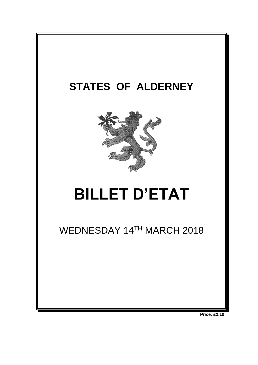

**Price: £2.10**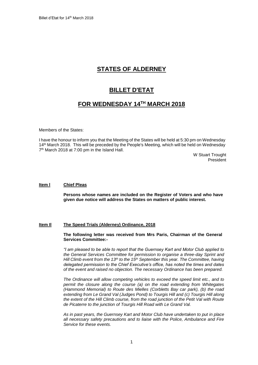# **STATES OF ALDERNEY**

# **BILLET D'ETAT**

# **FOR WEDNESDAY 14 TH MARCH 2018**

Members of the States:

I have the honour to inform you that the Meeting of the States will be held at 5:30 pm on Wednesday 14 th March 2018. This will be preceded by the People's Meeting, which will be held on Wednesday 7 th March 2018 at 7:00 pm in the Island Hall.

> W Stuart Trought President

## **Item l Chief Pleas**

**Persons whose names are included on the Register of Voters and who have given due notice will address the States on matters of public interest.**

## **Item Il The Speed Trials (Alderney) Ordinance, 2018**

**The following letter was received from Mrs Paris, Chairman of the General Services Committee:-**

*"I am pleased to be able to report that the Guernsey Kart and Motor Club applied to the General Services Committee for permission to organise a three-day Sprint and Hill Climb event from the 13th to the 15th September this year. The Committee, having delegated permission to the Chief Executive's office, has noted the times and dates of the event and raised no objection. The necessary Ordinance has been prepared.*

*The Ordinance will allow competing vehicles to exceed the speed limit etc., and to permit the closure along the course (a) on the road extending from Whitegates (Hammond Memorial) to Route des Mielles (Corbletts Bay car park), (b) the road extending from Le Grand Val (Judges Pond) to Tourgis Hill and (c) Tourgis Hill along the extent of the Hill Climb course, from the road junction of the Petit Val with Route de Picaterre to the junction of Tourgis Hill Road with Le Grand Val.*

*As in past years, the Guernsey Kart and Motor Club have undertaken to put in place all necessary safety precautions and to liaise with the Police, Ambulance and Fire Service for these events.*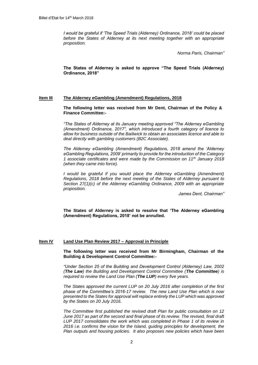*I would be grateful if 'The Speed Trials (Alderney) Ordinance, 2018' could be placed before the States of Alderney at its next meeting together with an appropriate proposition.*

*Norma Paris, Chairman"*

**The States of Alderney is asked to approve "The Speed Trials (Alderney) Ordinance, 2018"**

## **Item III The Alderney eGambling (Amendment) Regulations, 2018**

**The following letter was received from Mr Dent, Chairman of the Policy & Finance Committee:-**

*"The States of Alderney at its January meeting approved "The Alderney eGambling (Amendment) Ordinance, 2017", which introduced a fourth category of licence to allow for business outside of the Bailiwick to obtain an associates licence and able to deal directly with gambling customers (B2C Associate).*

*The Alderney eGambling (Amendment) Regulations, 2018 amend the 'Alderney eGambling Regulations, 2009' primarily to provide for the introduction of the Category 1 associate certificates and were made by the Commission on 11th January 2018 (when they came into force).*

*I* would be grateful if you would place the Alderney eGambling (Amendment) *Regulations, 2018 before the next meeting of the States of Alderney pursuant to Section 27(1)(c) of the Alderney eGambling Ordinance, 2009 with an appropriate proposition.*

*James Dent, Chairman"*

**The States of Alderney is asked to resolve that 'The Alderney eGambling (Amendment) Regulations, 2018' not be annulled.**

## **Item IV Land Use Plan Review 2017 – Approval in Principle**

**The following letter was received from Mr Birmingham, Chairman of the Building & Development Control Committee:-**

*"Under Section 25 of the Building and Development Control (Alderney) Law, 2002 (The Law) the Building and Development Control Committee (The Committee) is required to review the Land Use Plan (The LUP) every five years.* 

*The States approved the current LUP on 20 July 2016 after completion of the first phase of the Committee's 2016-17 review. The new Land Use Plan which is now presented to the States for approval will replace entirely the LUP which was approved by the States on 20 July 2016.* 

*The Committee first published the revised draft Plan for public consultation on 12 June 2017 as part of the second and final phase of its review. The revised, final draft LUP 2017 consolidates the work which was completed in Phase 1 of its review in 2016 i.e. confirms the vision for the Island, guiding principles for development, the Plan outputs and housing policies. It also proposes new policies which have been*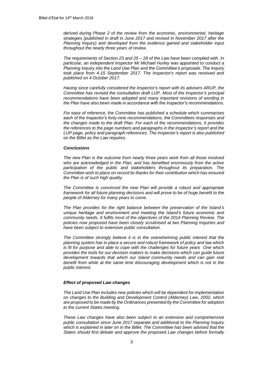*derived during Phase 2 of the review from the economic, environmental, heritage strategies (published in draft in June 2017 and revised in November 2017 after the Planning Inquiry) and developed from the evidence gained and stakeholder input throughout the nearly three years of review.* 

*The requirements of Section 23 and 25 – 28 of the Law have been complied with. In particular, an independent Inspector Mr Michael Hurley was appointed to conduct a Planning Inquiry into the Land Use Plan and the Committee's proposals. The Inquiry took place from 4-15 September 2017. The Inspector's report was received and published on 4 October 2017.* 

*Having since carefully considered the Inspector's report with its advisers ARUP, the Committee has revised the consultation draft LUP. Most of the Inspector's principal recommendations have been adopted and many important revisions of wording in the Plan have also been made in accordance with the Inspector's recommendations.* 

*For ease of reference, the Committee has published a schedule which summarises each of the Inspector's forty-nine recommendations, the Committees responses and the changes made to the draft Plan. For each of the recommendations, it provides the references to the page numbers and paragraphs in the Inspector's report and the LUP page, policy and paragraph references. The Inspector's report is also published on the Billet as the Law requires.* 

#### *Conclusions*

*The new Plan is the outcome from nearly three years work from all those involved who are acknowledged in the Plan, and has benefited enormously from the active participation of the public and stakeholders throughout its preparation. The Committee wish to place on record its thanks for their contribution which has ensured the Plan is of such high quality.*

*The Committee is convinced the new Plan will provide a robust and appropriate framework for all future planning decisions and will prove to be of huge benefit to the people of Alderney for many years to come.*

*The Plan provides for the right balance between the preservation of the Island's unique heritage and environment and meeting the Island's future economic and community needs. It fulfils most of the objectives of the 2014 Planning Review. The policies now proposed have been closely scrutinised at two Planning Inquiries and have been subject to extensive public consultation.* 

*The Committee strongly believe it is in the overwhelming public interest that the planning system has in place a secure and robust framework of policy and law which is fit for purpose and able to cope with the challenges for future years One which provides the tools for our decision makers to make decisions which can guide future development towards that which our island community needs and can gain real benefit from while at the same time discouraging development which is not in the public interest.* 

## *Effect of proposed Law changes*

*The Land Use Plan includes new policies which will be dependent for implementation on changes to the Building and Development Control (Alderney) Law, 2002, which are proposed to be made by the Ordinances presented by the Committee for adoption to the current States meeting.*

*These Law changes have also been subject to an extensive and comprehensive public consultation since June 2017 separate and additional to the Planning Inquiry which is explained in later on in the Billet. The Committee has been advised that the States should first debate and approve the proposed Law changes before formally*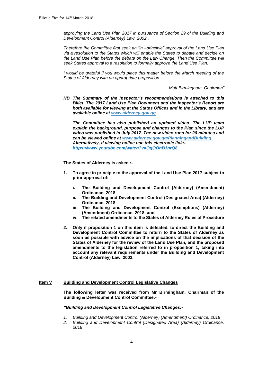*approving the Land Use Plan 2017 in pursuance of Section 29 of the Building and Development Control (Alderney) Law, 2002 .*

*Therefore the Committee first seek an "in –principle" approval of the Land Use Plan via a resolution to the States which will enable the States to debate and decide on the Land Use Plan before the debate on the Law Change. Then the Committee will seek States approval to a resolution to formally approve the Land Use Plan.* 

*I* would be grateful if you would place this matter before the March meeting of the *States of Alderney with an appropriate proposition*

*Matt Birmingham, Chairman"*

*NB The Summary of the Inspector's recommendations is attached to this Billet. The 2017 Land Use Plan Document and the Inspector's Report are both available for viewing at the States Offices and in the Library, and are available online at [www.alderney.gov.gg.](http://www.alderney.gov.gg/)*

*The Committee has also published an updated video. The LUP team explain the background, purpose and changes to the Plan since the LUP video was published in July 2017. The new video runs for 20 minutes and can be viewed online at [www.alderney.gov.gg/PlanningandBuilding.](http://www.alderney.gov.gg/PlanningandBuilding) Alternatively, if viewing online use this electronic link: <https://www.youtube.com/watch?v=QqQOhB1nrQ8>*

**The States of Alderney is asked :-**

- **1. To agree in principle to the approval of the Land Use Plan 2017 subject to prior approval of:**
	- **i. The Building and Development Control (Alderney) (Amendment) Ordinance, 2018**
	- **ii. The Building and Development Control (Designated Area) (Alderney) Ordinance, 2018**
	- **iii. The Building and Development Control (Exemptions) (Alderney) (Amendment) Ordinance, 2018, and**
	- **iv. The related amendments to the States of Alderney Rules of Procedure**
- **2. Only if proposition 1 on this item is defeated, to direct the Building and Development Control Committee to return to the States of Alderney as soon as possible with advice on the implications of that decision of the States of Alderney for the review of the Land Use Plan, and the proposed amendments to the legislation referred to in proposition 1, taking into account any relevant requirements under the Building and Development Control (Alderney) Law, 2002.**

#### **Item V Building and Development Control Legislative Changes**

**The following letter was received from Mr Birmingham, Chairman of the Building & Development Control Committee:-**

#### *"Building and Development Control Legislative Changes:-*

- *1. Building and Development Control (Alderney) (Amendment) Ordinance, 2018*
- *2. Building and Development Control (Designated Area) (Alderney) Ordinance, 2018*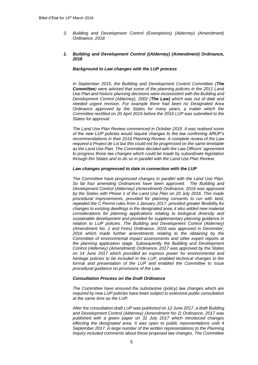*3. Building and Development Control (Exemptions) (Alderney) (Amendment) Ordinance, 2018*

## *1. Building and Development Control ((Alderney) (Amendment) Ordinance, 2018*

### *Background to Law changes with the LUP process*

*In September 2015, the Building and Development Control Committee (The Committee) were advised that some of the planning policies in the 2011 Land Use Plan and historic planning decisions were inconsistent with the Building and Development Control (Alderney), 2002 (The Law) which was out of date and needed urgent revision. For example there had been no Designated Area Ordinance approved by the States for many years, a matter which the Committee rectified on 20 April 2016 before the 2016 LUP was submitted to the States for approval.* 

*The Land Use Plan Review commenced in October 2015. It was realised some of the new LUP policies would require changes to the law confirming ARUP's recommendations in their 2014 Planning Review. A complete review of the Law required a Project de Loi but this could not be progressed on the same timetable as the Land Use Plan. The Committee decided with the Law Officers' agreement to progress those law changes which could be made by subordinate legislation through the States and to do so in parallel with the Land Use Plan Review.*

#### *Law changes progressed to date in connection with the LUP*

*The Committee have progressed changes in parallel with the Land Use Plan. So far four amending Ordinances have been approved. The Building and Development Control (Alderney) (Amendment) Ordinance, 2016 was approved by the States with Phase 1 of the Land Use Plan on 20 July 2016. This made procedural improvements, provided for planning consents to run with land, repealed the C Permit rules from 1 January 2017, provided greater flexibility for changes to existing dwellings in the designated area; it also added new material considerations for planning applications relating to biological diversity and sustainable development and provided for supplementary planning guidance in relation to LUP policies. The Building and Development Control (Alderney) (Amendment No. 2 and Fees) Ordinance, 2016 was approved in December, 2016 which made further amendments relating to the obtaining by the Committee of environmental impact assessments and other expert reports at the planning application stage. Subsequently the Building and Development Control (Alderney) (Amendment) Ordinance, 2017 was approved by the States on 14 June 2017 which provided an express power for environmental and heritage policies to be included in the LUP, enabled technical changes to the format and presentation of the LUP and enabled the Committee to issue procedural guidance on provisions of the Law.*

#### *Consultation Process on the Draft Ordinance*

*The Committee have ensured the substantive (policy) law changes which are required by new LUP policies have been subject to extensive public consultation at the same time as the LUP.* 

*After the consultation draft LUP was published on 12 June 2017, a draft Building and Development Control (Alderney) (Amendment No 2) Ordinance, 2017 was published with a green paper on 31 July 2017 which introduced changes effecting the designated area. It was open to public representations until 4 September 2017. A large number of the written representations to the Planning Inquiry included comments about these proposed law changes. The Committee*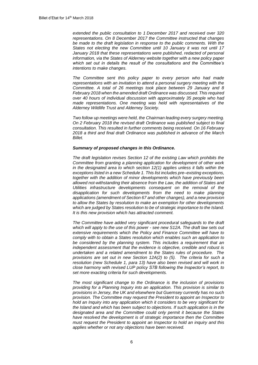*extended the public consultation to 1 December 2017 and received over 320 representations. On 8 December 2017 the Committee instructed that changes be made to the draft legislation in response to the public comments. With the States not electing the new Committee until 10 January it was not until 17 January 2018 that these representations were published, redacted of personal information, via the States of Alderney website together with a new policy paper which set out in details the result of the consultations and the Committee's intentions to make changes.*

*The Committee sent this policy paper to every person who had made representations with an invitation to attend a personal surgery meeting with the Committee. A total of 26 meetings took place between 29 January and 8 February 2018 when the amended draft Ordinance was discussed. This required over 40 hours of individual discussion with approximately 35 people who had made representations. One meeting was held with representatives of the Alderney Wildlife Trust and Alderney Society.* 

*Two follow up meetings were held, the Chairman leading every surgery meeting. On 2 February 2018 the revised draft Ordinance was published subject to final consultation. This resulted in further comments being received. On 16 February 2018 a third and final draft Ordinance was published in advance of the March Billet.* 

#### *Summary of proposed changes in this Ordinance.*

*The draft legislation revises Section 12 of the existing Law which prohibits the Committee from granting a planning application for development of other work in the designated area to which section 12(1) applies unless it falls within the exceptions listed in a new Schedule 1. This list includes pre–existing exceptions, together with the addition of minor developments which have previously been allowed not-withstanding their absence from the Law, the addition of States and Utilities infrastructure developments consequent on the removal of the disapplication for such developments from the need to make planning applications (amendment of Section 67 and other changes), and a new provision to allow the States by resolution to make an exemption for other developments which are judged by States resolution to be of strategic importance to the Island. It is this new provision which has attracted comment.*

*The Committee have added very significant procedural safeguards to the draft which will apply to the use of this power - see new S12A. The draft law sets out extensive requirements which the Policy and Finance Committee will have to comply with to obtain a States resolution which enables such an application to be considered by the planning system. This includes a requirement that an independent assessment that the evidence is objective, credible and robust is undertaken and a related amendment to the States rules of procedure. The provisions are set out in new Section 12A(2) to (5). The criteria for such a resolution (new Schedule 1, para 13) have also been revised and will work in close harmony with revised LUP policy S7B following the Inspector's report, to set more exacting criteria for such developments.* 

*The most significant change to the Ordinance is the inclusion of provisions providing for a Planning Inquiry into an application. This provision is similar to provisions in Jersey, the UK and elsewhere but Guernsey currently has no such provision. The Committee may request the President to appoint an Inspector to hold an Inquiry into any application which it considers to be very significant for the Island and which has been subject to objections. If such application is in the designated area and the Committee could only permit it because the States have resolved the development is of strategic importance then the Committee must request the President to appoint an Inspector to hold an inquiry and this applies whether or not any objections have been received.*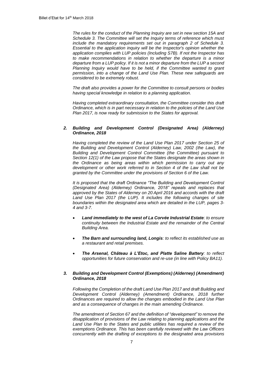*The rules for the conduct of the Planning Inquiry are set in new section 15A and Schedule 3. The Committee will set the Inquiry terms of reference which must include the mandatory requirements set out in paragraph 2 of Schedule 3. Essential to the application inquiry will be the Inspector's opinion whether the application complies with LUP policies (Including S7B). If not the Inspector has to make recommendations in relation to whether the departure is a minor departure from a LUP policy. If it is not a minor departure from the LUP a second Planning Inquiry would have to be held, if the Committee wanted to grant permission, into a change of the Land Use Plan. These new safeguards are considered to be extremely robust.* 

*The draft also provides a power for the Committee to consult persons or bodies having special knowledge in relation to a planning application.* 

*Having completed extraordinary consultation, the Committee consider this draft Ordinance, which is in part necessary in relation to the policies of the Land Use Plan 2017, is now ready for submission to the States for approval.*

## *2. Building and Development Control (Designated Area) (Alderney) Ordinance, 2018*

*Having completed the review of the Land Use Plan 2017 under Section 25 of the Building and Development Control (Alderney) Law, 2002 (the Law), the Building and Development Control Committee (the Committee) pursuant to Section 12(1) of the Law propose that the States designate the areas shown in the Ordinance as being areas within which permission to carry out any development or other work referred to in Section 4 of the Law shall not be granted by the Committee under the provisions of Section 6 of the Law.* 

*It is proposed that the draft Ordinance "The Building and Development Control (Designated Area) (Alderney) Ordinance, 2018" repeals and replaces that approved by the States of Alderney on 20 April 2016 and accords with the draft Land Use Plan 2017 (the LUP). It includes the following changes of site boundaries within the designated area which are detailed in the LUP, pages 3- 4 and 3-7.*

- *Land immediately to the west of La Corvée Industrial Estate: to ensure continuity between the Industrial Estate and the remainder of the Central Building Area.*
- *The Barn and surrounding land, Longis: to reflect its established use as a restaurant and retail premises.*
- *The Arsenal, Château à L'Etoc, and Platte Saline Battery: to reflect opportunities for future conservation and re-use (in line with Policy BA11).*

## *3. Building and Development Control (Exemptions) (Alderney) (Amendment) Ordinance, 2018*

*Following the Completion of the draft Land Use Plan 2017 and draft Building and Development Control (Alderney) (Amendment) Ordinance, 2018 further Ordinances are required to allow the changes embodied in the Land Use Plan and as a consequence of changes in the main amending Ordinance.*

*The amendment of Section 67 and the definition of "development" to remove the disapplication of provisions of the Law relating to planning applications and the*  Land Use Plan to the States and public utilities has required a review of the *exemptions Ordinance. This has been carefully reviewed with the Law Officers concurrently with the drafting of exceptions to the designated area provisions*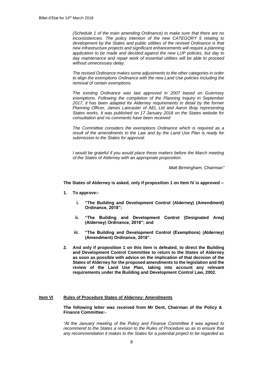*(Schedule 1 of the main amending Ordinance) to make sure that there are no inconsistencies. The policy intention of the new CATEGORY 5 relating to development by the States and public utilities of the revised Ordinance is that new infrastructure projects and significant enhancements will require a planning application to be made and decided against the new LUP policies, but day to day maintenance and repair work of essential utilities will be able to proceed without unnecessary delay.*

*The revised Ordinance makes some adjustments to the other categories in order to align the exemptions Ordinance with the new Land Use policies including the removal of certain exemptions.* 

*The existing Ordinance was last approved in 2007 based on Guernsey exemptions. Following the completion of the Planning Inquiry in September 2017, it has been adapted for Alderney requirements in detail by the former Planning Officer, James Lancaster of AEL Ltd and Aaron Bray representing States works. It was published on 17 January 2018 on the States website for consultation and no comments have been received* 

*The Committee considers the exemptions Ordinance which is required as a result of the amendments to the Law and by the Land Use Plan is ready for submission to the States for approval.*

*I would be grateful if you would place these matters before the March meeting of the States of Alderney with an appropriate proposition.*

*Matt Birmingham, Chairman"*

**The States of Alderney is asked, only if proposition 1 on Item IV is approved –**

- **1. To approve:**
	- **i. "The Building and Development Control (Alderney) (Amendment) Ordinance, 2018";**
	- **ii. "The Building and Development Control (Designated Area) (Alderney) Ordinance, 2018"; and**
	- **iii. "The Building and Development Control (Exemptions) (Alderney) (Amendment) Ordinance, 2018".**
- **2. And only if proposition 1 on this item is defeated, to direct the Building and Development Control Committee to return to the States of Alderney as soon as possible with advice on the implication of that decision of the States of Alderney for the proposed amendments to the legislation and the review of the Land Use Plan, taking into account any relevant requirements under the Building and Development Control Law, 2002.**

#### **Item VI Rules of Procedure States of Alderney: Amendments**

**The following letter was received from Mr Dent, Chairman of the Policy & Finance Committee:-**

*"At the January meeting of the Policy and Finance Committee it was agreed to recommend to the States a revision to the Rules of Procedure so as to ensure that any recommendation it makes to the States for a potential project to be regarded as*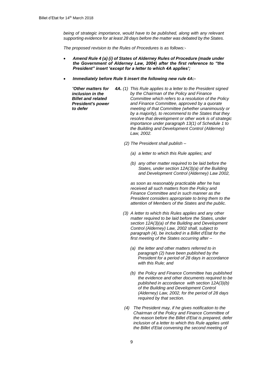being of strategic importance, would have to be published, along with any relevant *supporting evidence for at least 28 days before the matter was debated by the States.*

*The proposed revision to the Rules of Procedures is as follows:-*

- *Amend Rule 4 (a) (i) of States of Alderney Rules of Procedure (made under the Government of Alderney Law, 2004) after the first reference to "the President" insert 'except for a letter to which 4A applies';*
- *Immediately before Rule 5 insert the following new rule 4A:-*
	- *"Other matters for inclusion in the Billet and related President's power to defer 4A. (1) This Rule applies to a letter to the President signed by the Chairman of the Policy and Finance Committee which refers to a resolution of the Policy and Finance Committee, approved by a quorate meeting of that Committee (whether unanimously or by a majority), to recommend to the States that they resolve that development or other work is of strategic importance under paragraph 13(1) of Schedule 1 to the Building and Development Control (Alderney) Law, 2002.*
		- *(2) The President shall publish –*
			- *(a) a letter to which this Rule applies; and*
			- *(b) any other matter required to be laid before the States, under section 12A(3)(a) of the Building and Development Control (Alderney) Law 2002,*

*as soon as reasonably practicable after he has received all such matters from the Policy and Finance Committee and in such manner as the President considers appropriate to bring them to the attention of Members of the States and the public.*

- *(3) A letter to which this Rules applies and any other matter required to be laid before the States, under section 12A(3)(a) of the Building and Development Control (Alderney) Law, 2002 shall, subject to paragraph (4), be included in a Billet d'Etat for the first meeting of the States occurring after –*
	- *(a) the letter and other matters referred to in paragraph (2) have been published by the President for a period of 28 days in accordance with this Rule; and*
	- *(b) the Policy and Finance Committee has published the evidence and other documents required to be published in accordance with section 12A(3)(b) of the Building and Development Control (Alderney) Law, 2002, for the period of 28 days required by that section.*
- *(4) The President may, if he gives notification to the Chairman of the Policy and Finance Committee of the reason before the Billet d'Etat is prepared, defer inclusion of a letter to which this Rule applies until the Billet d'Etat convening the second meeting of*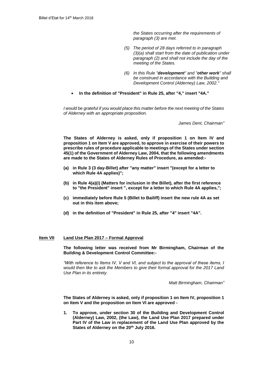*the States occurring after the requirements of paragraph (3) are met.*

- *(5) The period of 28 days referred to in paragraph (3)(a) shall start from the date of publication under paragraph (2) and shall not include the day of the meeting of the States.*
- *(6) In this Rule "development" and "other work" shall be construed in accordance with the Building and Development Control (Alderney) Law, 2002."*
- **In the definition of "President" in Rule 25, after "4," insert "4A."**

*I would be grateful if you would place this matter before the next meeting of the States of Alderney with an appropriate proposition.*

*James Dent, Chairman"*

**The States of Alderney is asked, only if proposition 1 on Item IV and proposition 1 on Item V are approved, to approve in exercise of their powers to prescribe rules of procedure applicable to meetings of the States under section 45(1) of the Government of Alderney Law, 2004, that the following amendments are made to the States of Alderney Rules of Procedure, as amended:-**

- **(a) in Rule 3 (3 day-Billet) after "any matter" insert "(except for a letter to which Rule 4A applies)";**
- **(b) in Rule 4(a)(i) (Matters for inclusion in the Billet), after the first reference to "the President" insert ", except for a letter to which Rule 4A applies,";**
- **(c) immediately before Rule 5 (Billet to Bailiff) insert the new rule 4A as set out in this item above;**
- **(d) in the definition of "President" in Rule 25, after "4" insert "4A".**

## **Item VII Land Use Plan 2017 – Formal Approval**

**The following letter was received from Mr Birmingham, Chairman of the Building & Development Control Committee:-**

*"With reference to Items IV, V and VI, and subject to the approval of these items, I would then like to ask the Members to give their formal approval for the 2017 Land Use Plan in its entirety.*

*Matt Birmingham, Chairman"*

**The States of Alderney is asked, only if proposition 1 on Item IV, proposition 1 on Item V and the proposition on Item VI are approved -**

**1. To approve, under section 30 of the Building and Development Control (Alderney) Law, 2002, (the Law), the Land Use Plan 2017 prepared under Part IV of the Law in replacement of the Land Use Plan approved by the States of Alderney on the 20th July 2016.**